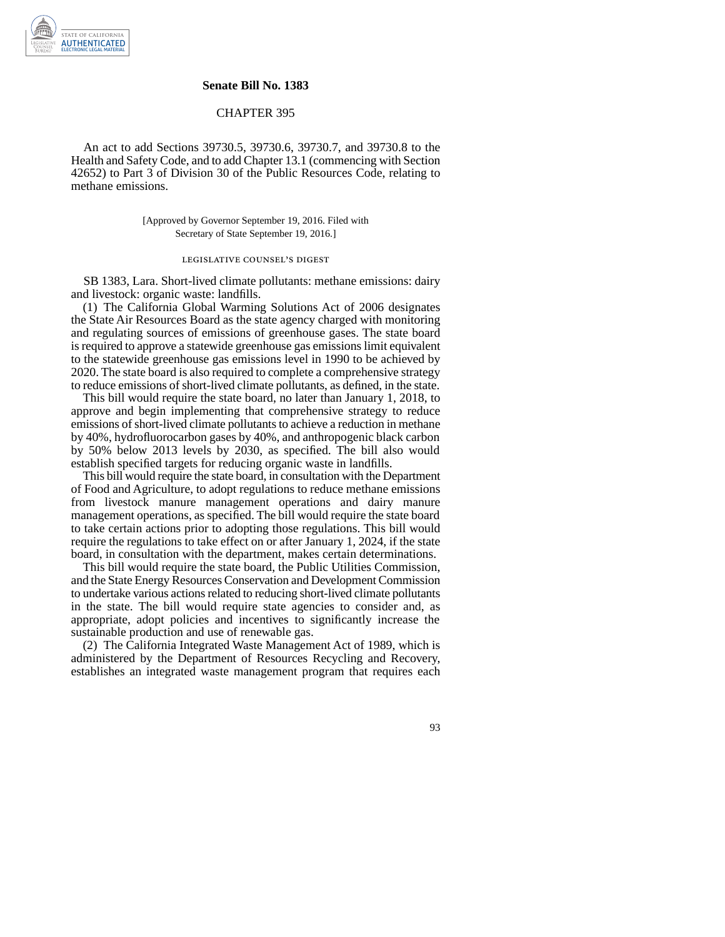

## **Senate Bill No. 1383**

## CHAPTER 395

An act to add Sections 39730.5, 39730.6, 39730.7, and 39730.8 to the Health and Safety Code, and to add Chapter 13.1 (commencing with Section 42652) to Part 3 of Division 30 of the Public Resources Code, relating to methane emissions.

> [Approved by Governor September 19, 2016. Filed with Secretary of State September 19, 2016.]

## legislative counsel' s digest

SB 1383, Lara. Short-lived climate pollutants: methane emissions: dairy and livestock: organic waste: landfills.

(1) The California Global Warming Solutions Act of 2006 designates the State Air Resources Board as the state agency charged with monitoring and regulating sources of emissions of greenhouse gases. The state board is required to approve a statewide greenhouse gas emissions limit equivalent to the statewide greenhouse gas emissions level in 1990 to be achieved by 2020. The state board is also required to complete a comprehensive strategy to reduce emissions of short-lived climate pollutants, as defined, in the state.

This bill would require the state board, no later than January 1, 2018, to approve and begin implementing that comprehensive strategy to reduce emissions of short-lived climate pollutants to achieve a reduction in methane by 40%, hydrofluorocarbon gases by 40%, and anthropogenic black carbon by 50% below 2013 levels by 2030, as specified. The bill also would establish specified targets for reducing organic waste in landfills.

This bill would require the state board, in consultation with the Department of Food and Agriculture, to adopt regulations to reduce methane emissions from livestock manure management operations and dairy manure management operations, as specified. The bill would require the state board to take certain actions prior to adopting those regulations. This bill would require the regulations to take effect on or after January 1, 2024, if the state board, in consultation with the department, makes certain determinations.

This bill would require the state board, the Public Utilities Commission, and the State Energy Resources Conservation and Development Commission to undertake various actions related to reducing short-lived climate pollutants in the state. The bill would require state agencies to consider and, as appropriate, adopt policies and incentives to significantly increase the sustainable production and use of renewable gas.

(2) The California Integrated Waste Management Act of 1989, which is administered by the Department of Resources Recycling and Recovery, establishes an integrated waste management program that requires each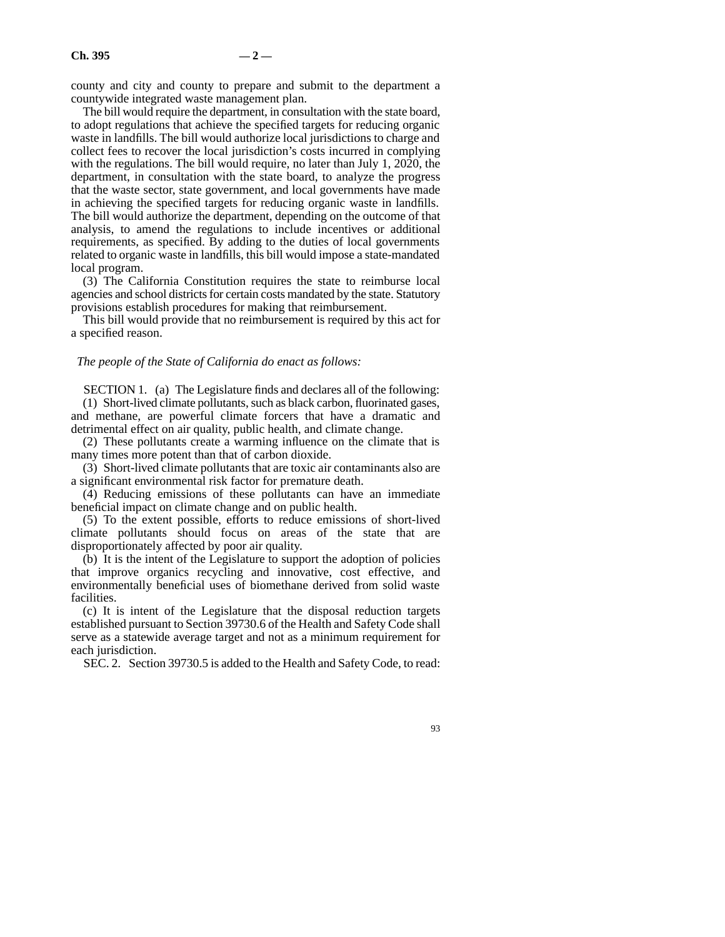county and city and county to prepare and submit to the department a countywide integrated waste management plan.

The bill would require the department, in consultation with the state board, to adopt regulations that achieve the specified targets for reducing organic waste in landfills. The bill would authorize local jurisdictions to charge and collect fees to recover the local jurisdiction's costs incurred in complying with the regulations. The bill would require, no later than July 1, 2020, the department, in consultation with the state board, to analyze the progress that the waste sector, state government, and local governments have made in achieving the specified targets for reducing organic waste in landfills. The bill would authorize the department, depending on the outcome of that analysis, to amend the regulations to include incentives or additional requirements, as specified. By adding to the duties of local governments related to organic waste in landfills, this bill would impose a state-mandated local program.

(3) The California Constitution requires the state to reimburse local agencies and school districts for certain costs mandated by the state. Statutory provisions establish procedures for making that reimbursement.

This bill would provide that no reimbursement is required by this act for a specified reason.

## *The people of the State of California do enact as follows:*

SECTION 1. (a) The Legislature finds and declares all of the following:

(1) Short-lived climate pollutants, such as black carbon, fluorinated gases, and methane, are powerful climate forcers that have a dramatic and detrimental effect on air quality, public health, and climate change.

(2) These pollutants create a warming influence on the climate that is many times more potent than that of carbon dioxide.

(3) Short-lived climate pollutants that are toxic air contaminants also are a significant environmental risk factor for premature death.

(4) Reducing emissions of these pollutants can have an immediate beneficial impact on climate change and on public health.

(5) To the extent possible, efforts to reduce emissions of short-lived climate pollutants should focus on areas of the state that are disproportionately affected by poor air quality.

(b) It is the intent of the Legislature to support the adoption of policies that improve organics recycling and innovative, cost effective, and environmentally beneficial uses of biomethane derived from solid waste facilities.

(c) It is intent of the Legislature that the disposal reduction targets established pursuant to Section 39730.6 of the Health and Safety Code shall serve as a statewide average target and not as a minimum requirement for each jurisdiction.

SEC. 2. Section 39730.5 is added to the Health and Safety Code, to read: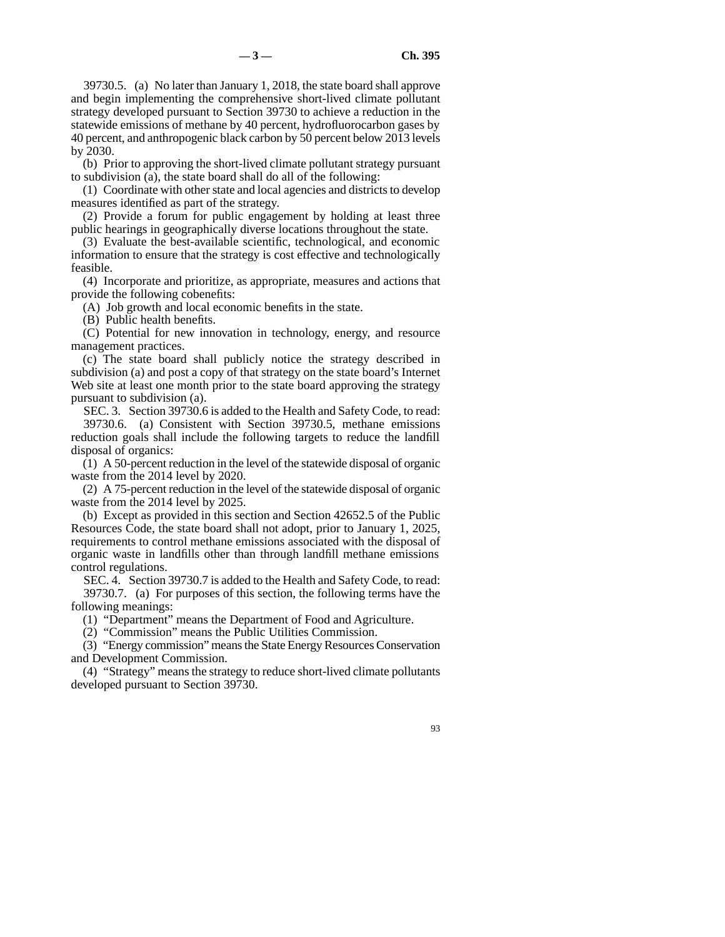39730.5. (a) No later than January 1, 2018, the state board shall approve and begin implementing the comprehensive short-lived climate pollutant strategy developed pursuant to Section 39730 to achieve a reduction in the statewide emissions of methane by 40 percent, hydrofluorocarbon gases by 40 percent, and anthropogenic black carbon by 50 percent below 2013 levels by 2030.

(b) Prior to approving the short-lived climate pollutant strategy pursuant to subdivision (a), the state board shall do all of the following:

(1) Coordinate with other state and local agencies and districts to develop measures identified as part of the strategy.

(2) Provide a forum for public engagement by holding at least three public hearings in geographically diverse locations throughout the state.

(3) Evaluate the best-available scientific, technological, and economic information to ensure that the strategy is cost effective and technologically feasible.

(4) Incorporate and prioritize, as appropriate, measures and actions that provide the following cobenefits:

(A) Job growth and local economic benefits in the state.

(B) Public health benefits.

(C) Potential for new innovation in technology, energy, and resource management practices.

(c) The state board shall publicly notice the strategy described in subdivision (a) and post a copy of that strategy on the state board's Internet Web site at least one month prior to the state board approving the strategy pursuant to subdivision (a).

SEC. 3. Section 39730.6 is added to the Health and Safety Code, to read: 39730.6. (a) Consistent with Section 39730.5, methane emissions reduction goals shall include the following targets to reduce the landfill disposal of organics:

(1) A 50-percent reduction in the level of the statewide disposal of organic waste from the 2014 level by 2020.

(2) A 75-percent reduction in the level of the statewide disposal of organic waste from the 2014 level by 2025.

(b) Except as provided in this section and Section 42652.5 of the Public Resources Code, the state board shall not adopt, prior to January 1, 2025, requirements to control methane emissions associated with the disposal of organic waste in landfills other than through landfill methane emissions control regulations.

SEC. 4. Section 39730.7 is added to the Health and Safety Code, to read: 39730.7. (a) For purposes of this section, the following terms have the following meanings:

(1) "Department" means the Department of Food and Agriculture.

(2) "Commission" means the Public Utilities Commission.

(3) "Energy commission" means the State Energy Resources Conservation and Development Commission.

(4) "Strategy" means the strategy to reduce short-lived climate pollutants developed pursuant to Section 39730.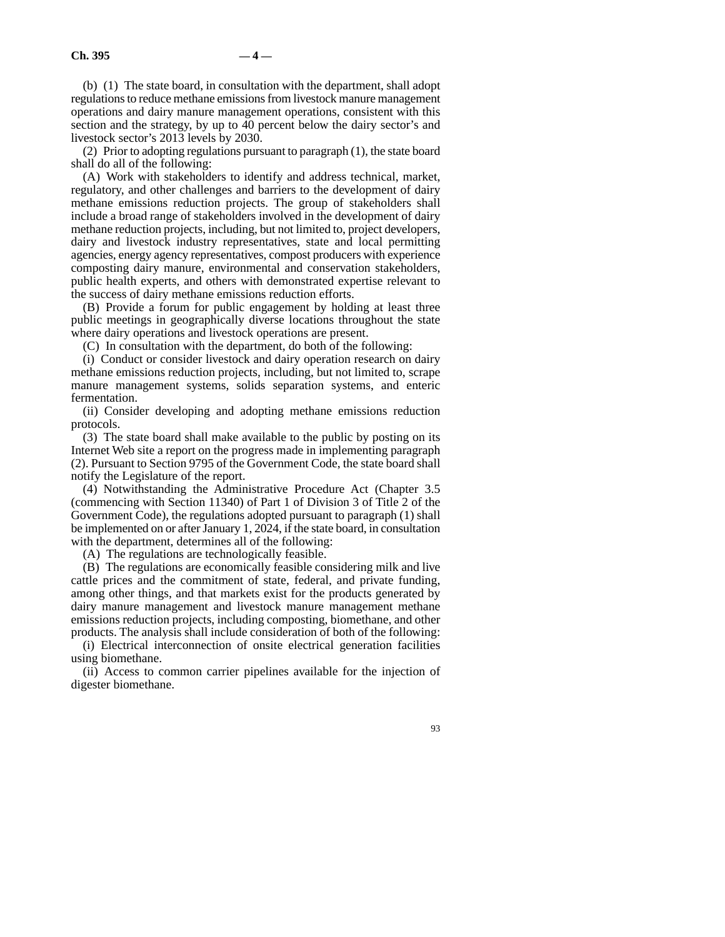(b) (1) The state board, in consultation with the department, shall adopt regulations to reduce methane emissions from livestock manure management operations and dairy manure management operations, consistent with this section and the strategy, by up to 40 percent below the dairy sector's and livestock sector's 2013 levels by 2030.

(2) Prior to adopting regulations pursuant to paragraph (1), the state board shall do all of the following:

(A) Work with stakeholders to identify and address technical, market, regulatory, and other challenges and barriers to the development of dairy methane emissions reduction projects. The group of stakeholders shall include a broad range of stakeholders involved in the development of dairy methane reduction projects, including, but not limited to, project developers, dairy and livestock industry representatives, state and local permitting agencies, energy agency representatives, compost producers with experience composting dairy manure, environmental and conservation stakeholders, public health experts, and others with demonstrated expertise relevant to the success of dairy methane emissions reduction efforts.

(B) Provide a forum for public engagement by holding at least three public meetings in geographically diverse locations throughout the state where dairy operations and livestock operations are present.

(C) In consultation with the department, do both of the following:

(i) Conduct or consider livestock and dairy operation research on dairy methane emissions reduction projects, including, but not limited to, scrape manure management systems, solids separation systems, and enteric fermentation.

(ii) Consider developing and adopting methane emissions reduction protocols.

(3) The state board shall make available to the public by posting on its Internet Web site a report on the progress made in implementing paragraph (2). Pursuant to Section 9795 of the Government Code, the state board shall notify the Legislature of the report.

(4) Notwithstanding the Administrative Procedure Act (Chapter 3.5 (commencing with Section 11340) of Part 1 of Division 3 of Title 2 of the Government Code), the regulations adopted pursuant to paragraph (1) shall be implemented on or after January 1, 2024, if the state board, in consultation with the department, determines all of the following:

(A) The regulations are technologically feasible.

(B) The regulations are economically feasible considering milk and live cattle prices and the commitment of state, federal, and private funding, among other things, and that markets exist for the products generated by dairy manure management and livestock manure management methane emissions reduction projects, including composting, biomethane, and other products. The analysis shall include consideration of both of the following:

(i) Electrical interconnection of onsite electrical generation facilities using biomethane.

(ii) Access to common carrier pipelines available for the injection of digester biomethane.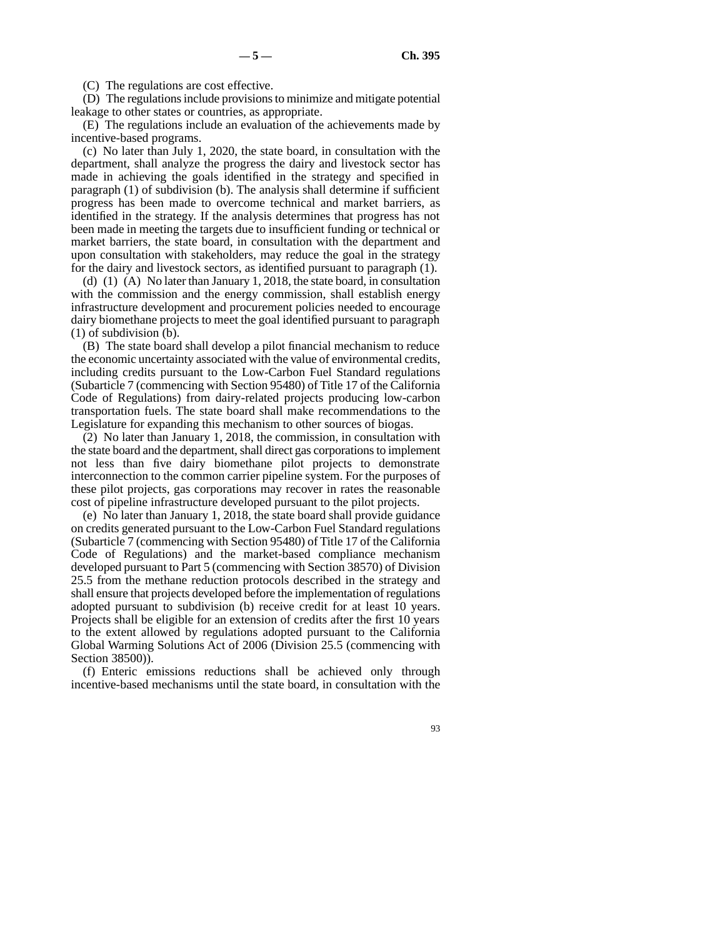(C) The regulations are cost effective.

(D) The regulations include provisions to minimize and mitigate potential leakage to other states or countries, as appropriate.

(E) The regulations include an evaluation of the achievements made by incentive-based programs.

(c) No later than July 1, 2020, the state board, in consultation with the department, shall analyze the progress the dairy and livestock sector has made in achieving the goals identified in the strategy and specified in paragraph (1) of subdivision (b). The analysis shall determine if sufficient progress has been made to overcome technical and market barriers, as identified in the strategy. If the analysis determines that progress has not been made in meeting the targets due to insufficient funding or technical or market barriers, the state board, in consultation with the department and upon consultation with stakeholders, may reduce the goal in the strategy for the dairy and livestock sectors, as identified pursuant to paragraph (1).

(d) (1) (A) No later than January 1, 2018, the state board, in consultation with the commission and the energy commission, shall establish energy infrastructure development and procurement policies needed to encourage dairy biomethane projects to meet the goal identified pursuant to paragraph (1) of subdivision (b).

(B) The state board shall develop a pilot financial mechanism to reduce the economic uncertainty associated with the value of environmental credits, including credits pursuant to the Low-Carbon Fuel Standard regulations (Subarticle 7 (commencing with Section 95480) of Title 17 of the California Code of Regulations) from dairy-related projects producing low-carbon transportation fuels. The state board shall make recommendations to the Legislature for expanding this mechanism to other sources of biogas.

(2) No later than January 1, 2018, the commission, in consultation with the state board and the department, shall direct gas corporations to implement not less than five dairy biomethane pilot projects to demonstrate interconnection to the common carrier pipeline system. For the purposes of these pilot projects, gas corporations may recover in rates the reasonable cost of pipeline infrastructure developed pursuant to the pilot projects.

(e) No later than January 1, 2018, the state board shall provide guidance on credits generated pursuant to the Low-Carbon Fuel Standard regulations (Subarticle 7 (commencing with Section 95480) of Title 17 of the California Code of Regulations) and the market-based compliance mechanism developed pursuant to Part 5 (commencing with Section 38570) of Division 25.5 from the methane reduction protocols described in the strategy and shall ensure that projects developed before the implementation of regulations adopted pursuant to subdivision (b) receive credit for at least 10 years. Projects shall be eligible for an extension of credits after the first 10 years to the extent allowed by regulations adopted pursuant to the California Global Warming Solutions Act of 2006 (Division 25.5 (commencing with Section 38500)).

(f) Enteric emissions reductions shall be achieved only through incentive-based mechanisms until the state board, in consultation with the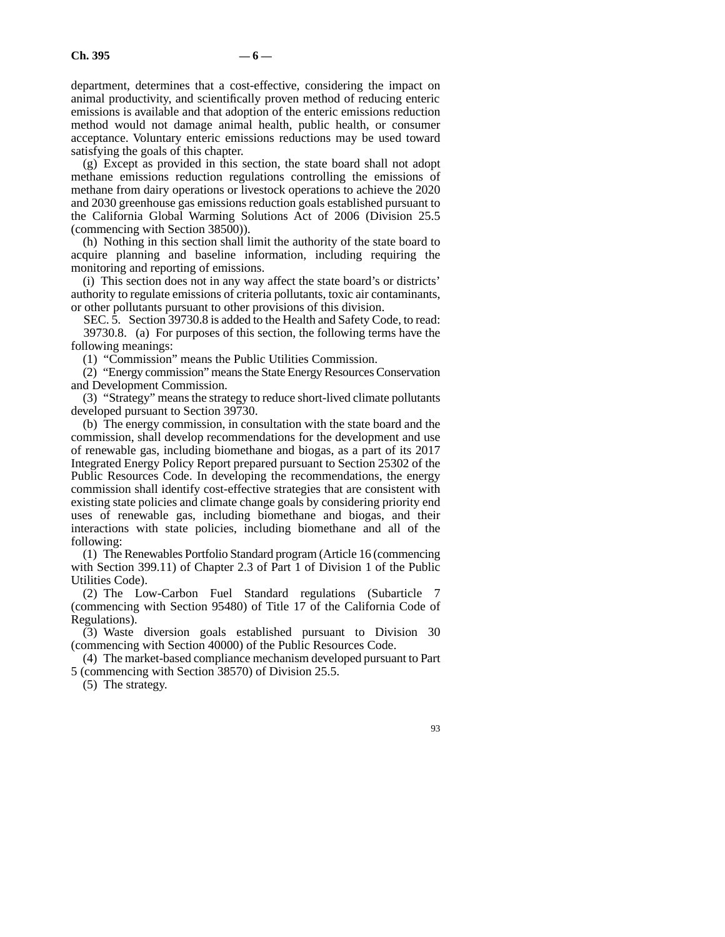department, determines that a cost-effective, considering the impact on animal productivity, and scientifically proven method of reducing enteric emissions is available and that adoption of the enteric emissions reduction method would not damage animal health, public health, or consumer acceptance. Voluntary enteric emissions reductions may be used toward satisfying the goals of this chapter.

(g) Except as provided in this section, the state board shall not adopt methane emissions reduction regulations controlling the emissions of methane from dairy operations or livestock operations to achieve the 2020 and 2030 greenhouse gas emissions reduction goals established pursuant to the California Global Warming Solutions Act of 2006 (Division 25.5 (commencing with Section 38500)).

(h) Nothing in this section shall limit the authority of the state board to acquire planning and baseline information, including requiring the monitoring and reporting of emissions.

(i) This section does not in any way affect the state board's or districts' authority to regulate emissions of criteria pollutants, toxic air contaminants, or other pollutants pursuant to other provisions of this division.

SEC. 5. Section 39730.8 is added to the Health and Safety Code, to read: 39730.8. (a) For purposes of this section, the following terms have the following meanings:

(1) "Commission" means the Public Utilities Commission.

(2) "Energy commission" means the State Energy Resources Conservation and Development Commission.

(3) "Strategy" means the strategy to reduce short-lived climate pollutants developed pursuant to Section 39730.

(b) The energy commission, in consultation with the state board and the commission, shall develop recommendations for the development and use of renewable gas, including biomethane and biogas, as a part of its 2017 Integrated Energy Policy Report prepared pursuant to Section 25302 of the Public Resources Code. In developing the recommendations, the energy commission shall identify cost-effective strategies that are consistent with existing state policies and climate change goals by considering priority end uses of renewable gas, including biomethane and biogas, and their interactions with state policies, including biomethane and all of the following:

(1) The Renewables Portfolio Standard program (Article 16 (commencing with Section 399.11) of Chapter 2.3 of Part 1 of Division 1 of the Public Utilities Code).

(2) The Low-Carbon Fuel Standard regulations (Subarticle 7 (commencing with Section 95480) of Title 17 of the California Code of Regulations).

(3) Waste diversion goals established pursuant to Division 30 (commencing with Section 40000) of the Public Resources Code.

(4) The market-based compliance mechanism developed pursuant to Part 5 (commencing with Section 38570) of Division 25.5.

(5) The strategy.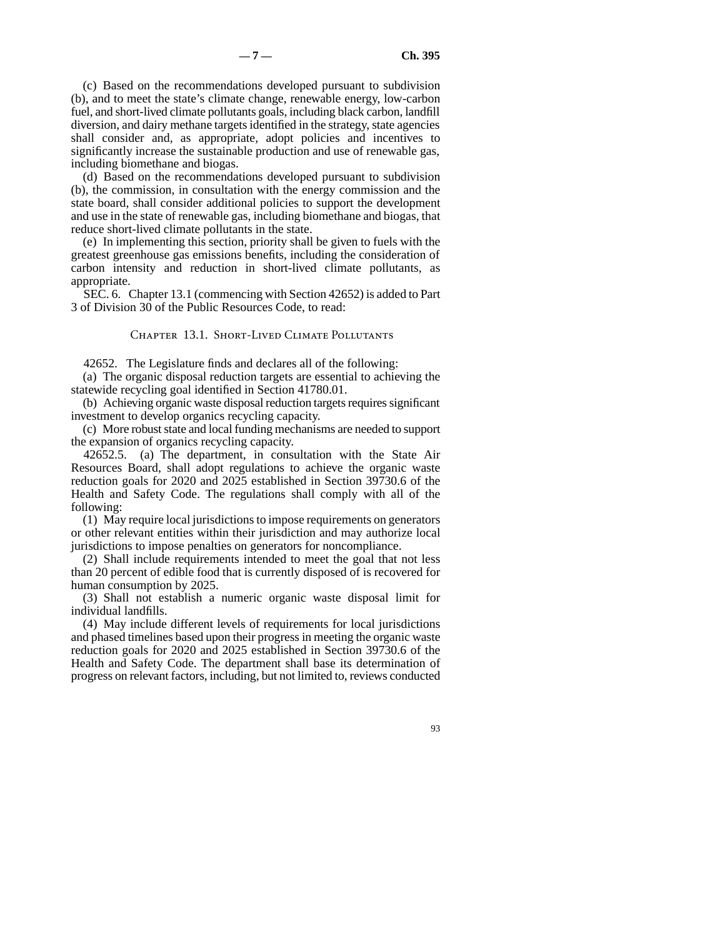(c) Based on the recommendations developed pursuant to subdivision (b), and to meet the state's climate change, renewable energy, low-carbon fuel, and short-lived climate pollutants goals, including black carbon, landfill diversion, and dairy methane targets identified in the strategy, state agencies shall consider and, as appropriate, adopt policies and incentives to significantly increase the sustainable production and use of renewable gas, including biomethane and biogas.

(d) Based on the recommendations developed pursuant to subdivision (b), the commission, in consultation with the energy commission and the state board, shall consider additional policies to support the development and use in the state of renewable gas, including biomethane and biogas, that reduce short-lived climate pollutants in the state.

(e) In implementing this section, priority shall be given to fuels with the greatest greenhouse gas emissions benefits, including the consideration of carbon intensity and reduction in short-lived climate pollutants, as appropriate.

SEC. 6. Chapter 13.1 (commencing with Section 42652) is added to Part 3 of Division 30 of the Public Resources Code, to read:

Chapter 13.1. Short-Lived Climate Pollutants

42652. The Legislature finds and declares all of the following:

(a) The organic disposal reduction targets are essential to achieving the statewide recycling goal identified in Section 41780.01.

(b) Achieving organic waste disposal reduction targets requires significant investment to develop organics recycling capacity.

(c) More robust state and local funding mechanisms are needed to support the expansion of organics recycling capacity.

42652.5. (a) The department, in consultation with the State Air Resources Board, shall adopt regulations to achieve the organic waste reduction goals for 2020 and 2025 established in Section 39730.6 of the Health and Safety Code. The regulations shall comply with all of the following:

(1) May require local jurisdictions to impose requirements on generators or other relevant entities within their jurisdiction and may authorize local jurisdictions to impose penalties on generators for noncompliance.

(2) Shall include requirements intended to meet the goal that not less than 20 percent of edible food that is currently disposed of is recovered for human consumption by 2025.

(3) Shall not establish a numeric organic waste disposal limit for individual landfills.

(4) May include different levels of requirements for local jurisdictions and phased timelines based upon their progress in meeting the organic waste reduction goals for 2020 and 2025 established in Section 39730.6 of the Health and Safety Code. The department shall base its determination of progress on relevant factors, including, but not limited to, reviews conducted